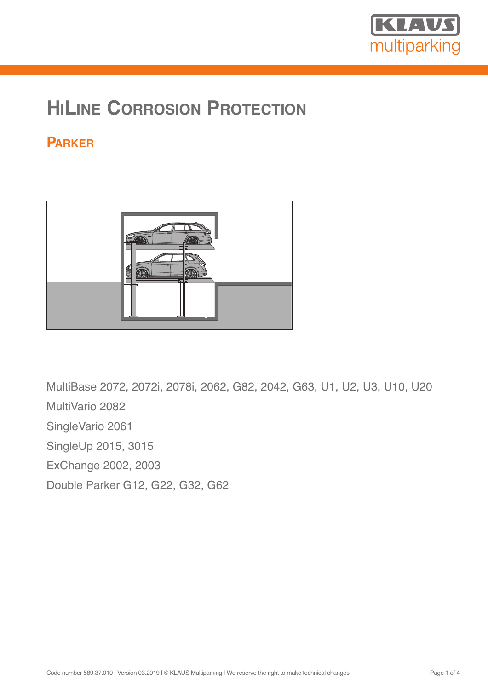

# **HILINE CORROSION PROTECTION**

# **PARKER**



MultiBase 2072, 2072i, 2078i, 2062, G82, 2042, G63, U1, U2, U3, U10, U20 MultiVario 2082 SingleVario 2061 SingleUp 2015, 3015 ExChange 2002, 2003 Double Parker G12, G22, G32, G62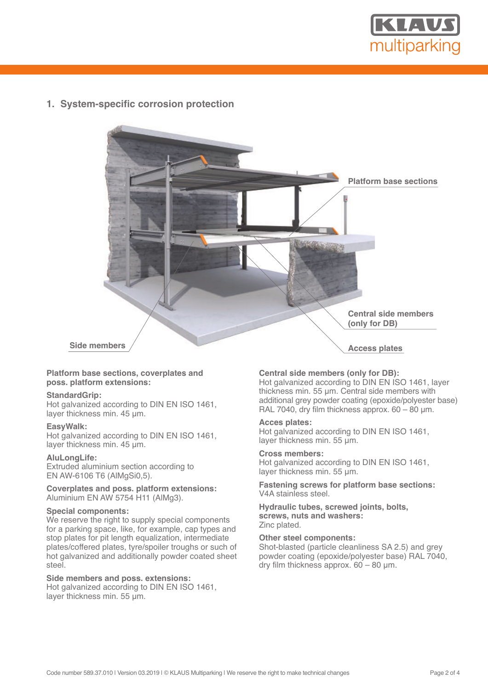

**1. System-specific corrosion protection**



#### **Platform base sections, coverplates and poss. platform extensions:**

#### **StandardGrip:**

Hot galvanized according to DIN EN ISO 1461, layer thickness min. 45 µm.

#### **EasyWalk:**

Hot galvanized according to DIN EN ISO 1461, layer thickness min. 45 um.

#### **AluLongLife:**

Extruded aluminium section according to EN AW-6106 T6 (AlMgSi0,5).

#### **Coverplates and poss. platform extensions:** Aluminium EN AW 5754 H11 (AlMg3).

#### **Special components:**

We reserve the right to supply special components for a parking space, like, for example, cap types and stop plates for pit length equalization, intermediate plates/coffered plates, tyre/spoiler troughs or such of hot galvanized and additionally powder coated sheet steel.

### **Side members and poss. extensions:**

Hot galvanized according to DIN EN ISO 1461, layer thickness min. 55 µm.

# **Central side members (only for DB):**

Hot galvanized according to DIN EN ISO 1461, layer thickness min. 55 µm. Central side members with additional grey powder coating (epoxide/polyester base) RAL 7040, dry film thickness approx.  $60 - 80$  µm.

#### **Acces plates:**

Hot galvanized according to DIN EN ISO 1461, layer thickness min. 55 µm.

#### **Cross members:**

Hot galvanized according to DIN EN ISO 1461, layer thickness min. 55 µm.

**Fastening screws for platform base sections:** V4A stainless steel.

#### **Hydraulic tubes, screwed joints, bolts, screws, nuts and washers:** Zinc plated.

# **Other steel components:**

Shot-blasted (particle cleanliness SA 2.5) and grey powder coating (epoxide/polyester base) RAL 7040, dry film thickness approx. 60 – 80 µm.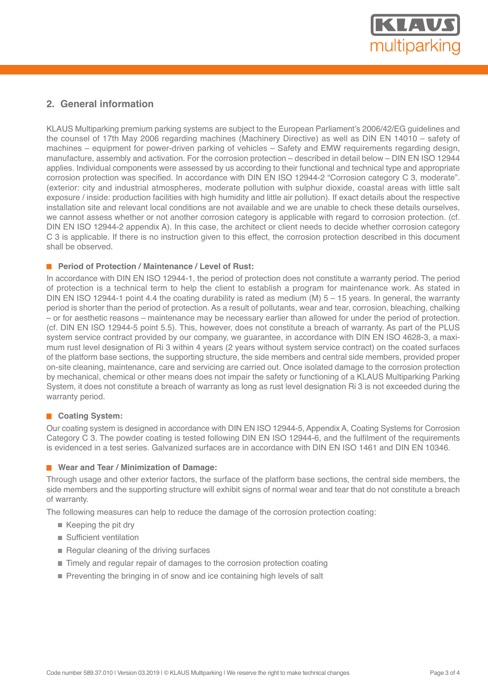

# **2. General information**

KLAUS Multiparking premium parking systems are subject to the European Parliament's 2006/42/EG guidelines and the counsel of 17th May 2006 regarding machines (Machinery Directive) as well as DIN EN 14010 – safety of machines – equipment for power-driven parking of vehicles – Safety and EMW requirements regarding design, manufacture, assembly and activation. For the corrosion protection – described in detail below – DIN EN ISO 12944 applies. Individual components were assessed by us according to their functional and technical type and appropriate corrosion protection was specified. In accordance with DIN EN ISO 12944-2 "Corrosion category C 3, moderate". (exterior: city and industrial atmospheres, moderate pollution with sulphur dioxide, coastal areas with little salt exposure / inside: production facilities with high humidity and little air pollution). If exact details about the respective installation site and relevant local conditions are not available and we are unable to check these details ourselves, we cannot assess whether or not another corrosion category is applicable with regard to corrosion protection. (cf. DIN EN ISO 12944-2 appendix A). In this case, the architect or client needs to decide whether corrosion category C 3 is applicable. If there is no instruction given to this effect, the corrosion protection described in this document shall be observed.

# **Period of Protection / Maintenance / Level of Rust:**

In accordance with DIN EN ISO 12944-1, the period of protection does not constitute a warranty period. The period of protection is a technical term to help the client to establish a program for maintenance work. As stated in DIN EN ISO 12944-1 point 4.4 the coating durability is rated as medium (M)  $5 - 15$  years. In general, the warranty period is shorter than the period of protection. As a result of pollutants, wear and tear, corrosion, bleaching, chalking – or for aesthetic reasons – maintenance may be necessary earlier than allowed for under the period of protection. (cf. DIN EN ISO 12944-5 point 5.5). This, however, does not constitute a breach of warranty. As part of the PLUS system service contract provided by our company, we guarantee, in accordance with DIN EN ISO 4628-3, a maximum rust level designation of Ri 3 within 4 years (2 years without system service contract) on the coated surfaces of the platform base sections, the supporting structure, the side members and central side members, provided proper on-site cleaning, maintenance, care and servicing are carried out. Once isolated damage to the corrosion protection by mechanical, chemical or other means does not impair the safety or functioning of a KLAUS Multiparking Parking System, it does not constitute a breach of warranty as long as rust level designation Ri 3 is not exceeded during the warranty period.

# **Coating System:**

Our coating system is designed in accordance with DIN EN ISO 12944-5, Appendix A, Coating Systems for Corrosion Category C 3. The powder coating is tested following DIN EN ISO 12944-6, and the fulfilment of the requirements is evidenced in a test series. Galvanized surfaces are in accordance with DIN EN ISO 1461 and DIN EN 10346.

#### **Wear and Tear / Minimization of Damage:**

Through usage and other exterior factors, the surface of the platform base sections, the central side members, the side members and the supporting structure will exhibit signs of normal wear and tear that do not constitute a breach of warranty.

The following measures can help to reduce the damage of the corrosion protection coating:

- Keeping the pit dry
- Sufficient ventilation
- $\blacksquare$  Regular cleaning of the driving surfaces
- Timely and regular repair of damages to the corrosion protection coating
- **Preventing the bringing in of snow and ice containing high levels of salt**